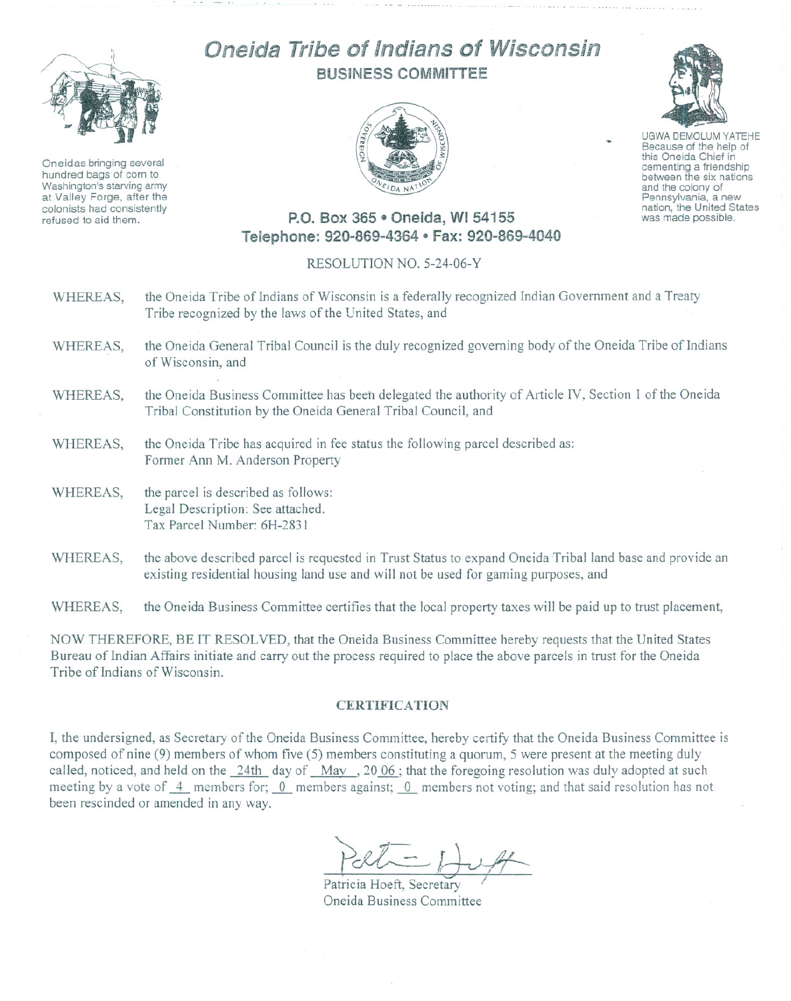

Oneidas bringing several hundred bags of corn to Washington's starving army at Valley Forge, after the colonists had consistently refused to aid them.

## Oneida Tribe of Indians of Wisconsin BUSINESS COMMITTEE



UGWA DEMOLUM YATEHE Because of the help of this Oneida Chief in<br>cementing a friendship between the six nations and the colony of<br>Pennsylvania, a new

nation, the United States was made possible.

## P.O. Box 365 • Oneida, WI 54155 Telephone: 920-869-4364 0 Fax: 920-869-4040

## RESOLUTION NO. 5-24-06-Y

- WHEREAS, the Oneida Tribe of Indians of Wisconsin is a federally recognized Indian Government and a Treaty Tribe recognized by the laws of the United States, and
- WHEREAS, the Oneida General Tribal Council is the duly recognized governing body of the Oneida Tribe of Indians of Wisconsin, and
- WHEREAS, the Oneida Business Committee has been delegated the authority of Article IV, Section 1 of the Oneida Tribal Constitution by the Oneida General Tribal Council, and
- WHEREAS, the Oneida Tribe has acquired in fee status the following parcel described as: Fonner Ann M. Anderson Property
- WHEREAS, the parcel is described as follows: Legal Description: See attached. Tax Parcel Number: 6H-283 I
- WHEREAS, the above described parcel is requested in Trust Status to expand Oneida Tribal land base and provide an existing residential housing land use and will not be used for gaming purposes, and

WHEREAS, the Oneida Business Committee certifies that the local property taxes will be paid up to trust placement,

NOW THEREFORE, BE IT RESOLVED, that the Oneida Business Committee hereby requests that the United States Bureau of Indian Affairs initiate and carry out the process required to place the above parcels in trust for the Oneida Tribe of Indians of Wisconsin.

## **CERTIFICATION**

I, the undersigned, as Secretary of the Oneida Business Committee, hereby certify that the Oneida Business Committee is composed of nine (9) members of whom five (5) members constituting a quorum, 5 were present at the meeting duly called, noticed, and held on the 24th day of Mav ,20 06 ; that the foregoing resolution was duly adopted at such meeting by a vote of  $\frac{4}{\cdot}$  members for;  $\frac{0}{\cdot}$  members against;  $\frac{0}{\cdot}$  members not voting; and that said resolution has not been rescinded or amended in any way.

 $701 - 174$ 

Patricia Hoeft, Secretary Oneida Business Committee